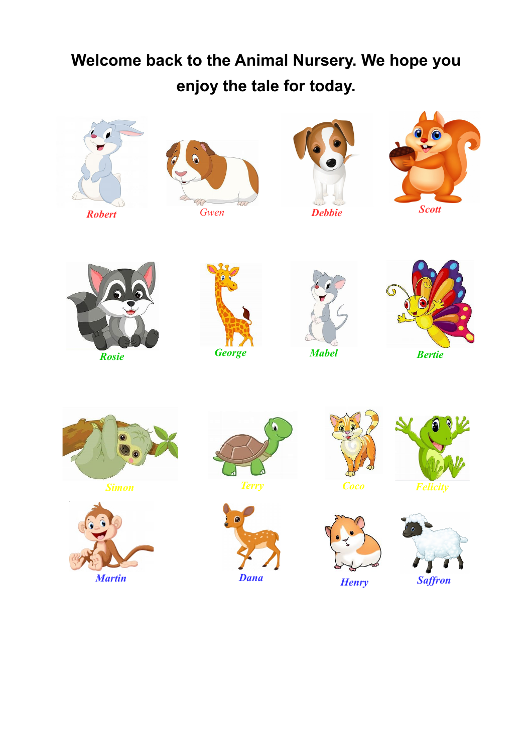## **Welcome back to the Animal Nursery. We hope you enjoy the tale for today.**































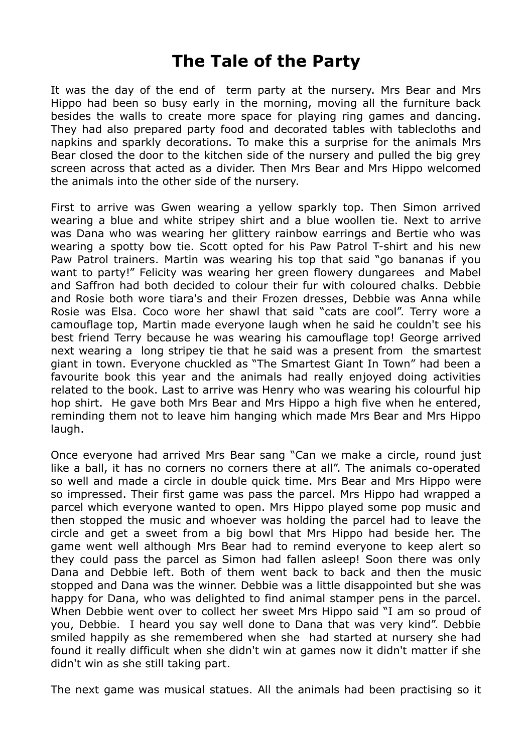## **The Tale of the Party**

It was the day of the end of term party at the nursery. Mrs Bear and Mrs Hippo had been so busy early in the morning, moving all the furniture back besides the walls to create more space for playing ring games and dancing. They had also prepared party food and decorated tables with tablecloths and napkins and sparkly decorations. To make this a surprise for the animals Mrs Bear closed the door to the kitchen side of the nursery and pulled the big grey screen across that acted as a divider. Then Mrs Bear and Mrs Hippo welcomed the animals into the other side of the nursery.

First to arrive was Gwen wearing a yellow sparkly top. Then Simon arrived wearing a blue and white stripey shirt and a blue woollen tie. Next to arrive was Dana who was wearing her glittery rainbow earrings and Bertie who was wearing a spotty bow tie. Scott opted for his Paw Patrol T-shirt and his new Paw Patrol trainers. Martin was wearing his top that said "go bananas if you want to party!" Felicity was wearing her green flowery dungarees and Mabel and Saffron had both decided to colour their fur with coloured chalks. Debbie and Rosie both wore tiara's and their Frozen dresses, Debbie was Anna while Rosie was Elsa. Coco wore her shawl that said "cats are cool". Terry wore a camouflage top, Martin made everyone laugh when he said he couldn't see his best friend Terry because he was wearing his camouflage top! George arrived next wearing a long stripey tie that he said was a present from the smartest giant in town. Everyone chuckled as "The Smartest Giant In Town" had been a favourite book this year and the animals had really enjoyed doing activities related to the book. Last to arrive was Henry who was wearing his colourful hip hop shirt. He gave both Mrs Bear and Mrs Hippo a high five when he entered, reminding them not to leave him hanging which made Mrs Bear and Mrs Hippo laugh.

Once everyone had arrived Mrs Bear sang "Can we make a circle, round just like a ball, it has no corners no corners there at all". The animals co-operated so well and made a circle in double quick time. Mrs Bear and Mrs Hippo were so impressed. Their first game was pass the parcel. Mrs Hippo had wrapped a parcel which everyone wanted to open. Mrs Hippo played some pop music and then stopped the music and whoever was holding the parcel had to leave the circle and get a sweet from a big bowl that Mrs Hippo had beside her. The game went well although Mrs Bear had to remind everyone to keep alert so they could pass the parcel as Simon had fallen asleep! Soon there was only Dana and Debbie left. Both of them went back to back and then the music stopped and Dana was the winner. Debbie was a little disappointed but she was happy for Dana, who was delighted to find animal stamper pens in the parcel. When Debbie went over to collect her sweet Mrs Hippo said "I am so proud of you, Debbie. I heard you say well done to Dana that was very kind". Debbie smiled happily as she remembered when she had started at nursery she had found it really difficult when she didn't win at games now it didn't matter if she didn't win as she still taking part.

The next game was musical statues. All the animals had been practising so it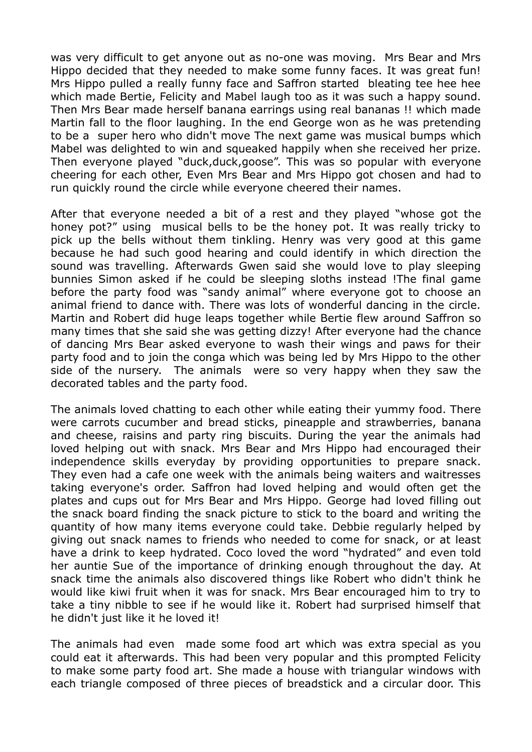was very difficult to get anyone out as no-one was moving. Mrs Bear and Mrs Hippo decided that they needed to make some funny faces. It was great fun! Mrs Hippo pulled a really funny face and Saffron started bleating tee hee hee which made Bertie, Felicity and Mabel laugh too as it was such a happy sound. Then Mrs Bear made herself banana earrings using real bananas !! which made Martin fall to the floor laughing. In the end George won as he was pretending to be a super hero who didn't move The next game was musical bumps which Mabel was delighted to win and squeaked happily when she received her prize. Then everyone played "duck,duck,goose". This was so popular with everyone cheering for each other, Even Mrs Bear and Mrs Hippo got chosen and had to run quickly round the circle while everyone cheered their names.

After that everyone needed a bit of a rest and they played "whose got the honey pot?" using musical bells to be the honey pot. It was really tricky to pick up the bells without them tinkling. Henry was very good at this game because he had such good hearing and could identify in which direction the sound was travelling. Afterwards Gwen said she would love to play sleeping bunnies Simon asked if he could be sleeping sloths instead !The final game before the party food was "sandy animal" where everyone got to choose an animal friend to dance with. There was lots of wonderful dancing in the circle. Martin and Robert did huge leaps together while Bertie flew around Saffron so many times that she said she was getting dizzy! After everyone had the chance of dancing Mrs Bear asked everyone to wash their wings and paws for their party food and to join the conga which was being led by Mrs Hippo to the other side of the nursery. The animals were so very happy when they saw the decorated tables and the party food.

The animals loved chatting to each other while eating their yummy food. There were carrots cucumber and bread sticks, pineapple and strawberries, banana and cheese, raisins and party ring biscuits. During the year the animals had loved helping out with snack. Mrs Bear and Mrs Hippo had encouraged their independence skills everyday by providing opportunities to prepare snack. They even had a cafe one week with the animals being waiters and waitresses taking everyone's order. Saffron had loved helping and would often get the plates and cups out for Mrs Bear and Mrs Hippo. George had loved filling out the snack board finding the snack picture to stick to the board and writing the quantity of how many items everyone could take. Debbie regularly helped by giving out snack names to friends who needed to come for snack, or at least have a drink to keep hydrated. Coco loved the word "hydrated" and even told her auntie Sue of the importance of drinking enough throughout the day. At snack time the animals also discovered things like Robert who didn't think he would like kiwi fruit when it was for snack. Mrs Bear encouraged him to try to take a tiny nibble to see if he would like it. Robert had surprised himself that he didn't just like it he loved it!

The animals had even made some food art which was extra special as you could eat it afterwards. This had been very popular and this prompted Felicity to make some party food art. She made a house with triangular windows with each triangle composed of three pieces of breadstick and a circular door. This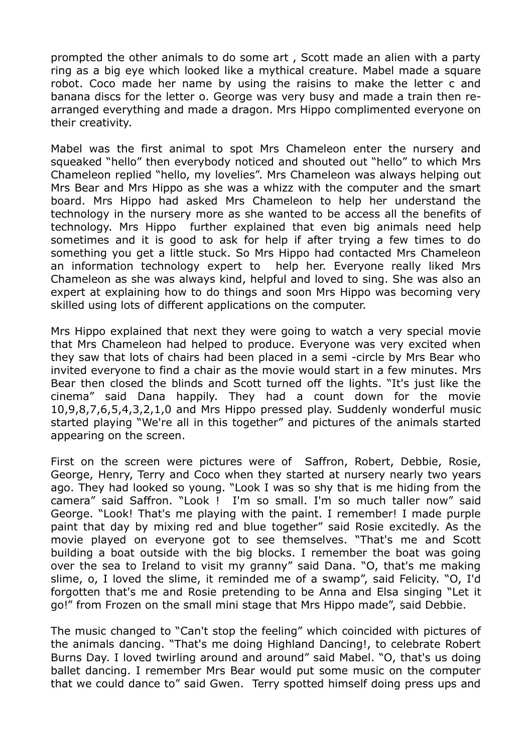prompted the other animals to do some art , Scott made an alien with a party ring as a big eye which looked like a mythical creature. Mabel made a square robot. Coco made her name by using the raisins to make the letter c and banana discs for the letter o. George was very busy and made a train then rearranged everything and made a dragon. Mrs Hippo complimented everyone on their creativity.

Mabel was the first animal to spot Mrs Chameleon enter the nursery and squeaked "hello" then everybody noticed and shouted out "hello" to which Mrs Chameleon replied "hello, my lovelies". Mrs Chameleon was always helping out Mrs Bear and Mrs Hippo as she was a whizz with the computer and the smart board. Mrs Hippo had asked Mrs Chameleon to help her understand the technology in the nursery more as she wanted to be access all the benefits of technology. Mrs Hippo further explained that even big animals need help sometimes and it is good to ask for help if after trying a few times to do something you get a little stuck. So Mrs Hippo had contacted Mrs Chameleon an information technology expert to help her. Everyone really liked Mrs Chameleon as she was always kind, helpful and loved to sing. She was also an expert at explaining how to do things and soon Mrs Hippo was becoming very skilled using lots of different applications on the computer.

Mrs Hippo explained that next they were going to watch a very special movie that Mrs Chameleon had helped to produce. Everyone was very excited when they saw that lots of chairs had been placed in a semi -circle by Mrs Bear who invited everyone to find a chair as the movie would start in a few minutes. Mrs Bear then closed the blinds and Scott turned off the lights. "It's just like the cinema" said Dana happily. They had a count down for the movie 10,9,8,7,6,5,4,3,2,1,0 and Mrs Hippo pressed play. Suddenly wonderful music started playing "We're all in this together" and pictures of the animals started appearing on the screen.

First on the screen were pictures were of Saffron, Robert, Debbie, Rosie, George, Henry, Terry and Coco when they started at nursery nearly two years ago. They had looked so young. "Look I was so shy that is me hiding from the camera" said Saffron. "Look ! I'm so small. I'm so much taller now" said George. "Look! That's me playing with the paint. I remember! I made purple paint that day by mixing red and blue together" said Rosie excitedly. As the movie played on everyone got to see themselves. "That's me and Scott building a boat outside with the big blocks. I remember the boat was going over the sea to Ireland to visit my granny" said Dana. "O, that's me making slime, o, I loved the slime, it reminded me of a swamp", said Felicity. "O, I'd forgotten that's me and Rosie pretending to be Anna and Elsa singing "Let it go!" from Frozen on the small mini stage that Mrs Hippo made", said Debbie.

The music changed to "Can't stop the feeling" which coincided with pictures of the animals dancing. "That's me doing Highland Dancing!, to celebrate Robert Burns Day. I loved twirling around and around" said Mabel. "O, that's us doing ballet dancing. I remember Mrs Bear would put some music on the computer that we could dance to" said Gwen. Terry spotted himself doing press ups and